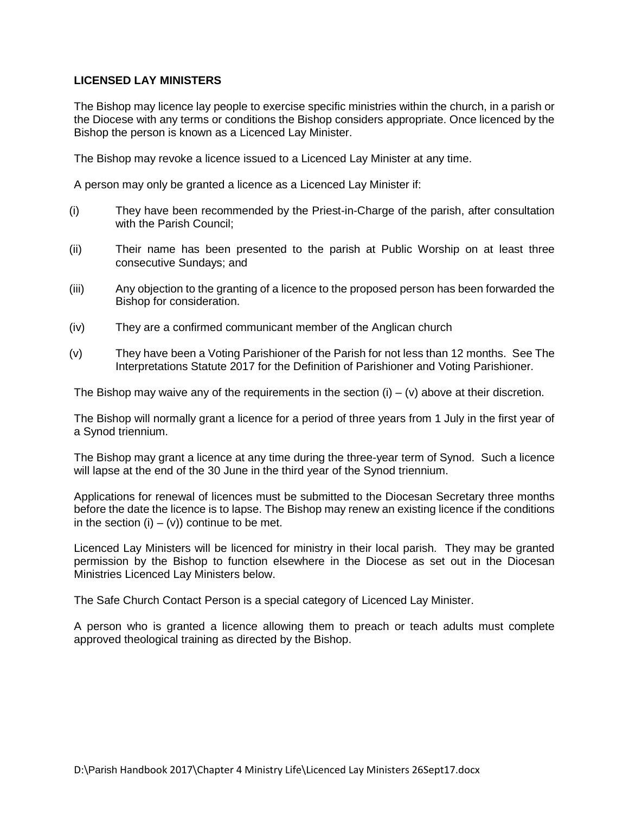# **LICENSED LAY MINISTERS**

The Bishop may licence lay people to exercise specific ministries within the church, in a parish or the Diocese with any terms or conditions the Bishop considers appropriate. Once licenced by the Bishop the person is known as a Licenced Lay Minister.

The Bishop may revoke a licence issued to a Licenced Lay Minister at any time.

A person may only be granted a licence as a Licenced Lay Minister if:

- (i) They have been recommended by the Priest-in-Charge of the parish, after consultation with the Parish Council;
- (ii) Their name has been presented to the parish at Public Worship on at least three consecutive Sundays; and
- (iii) Any objection to the granting of a licence to the proposed person has been forwarded the Bishop for consideration.
- (iv) They are a confirmed communicant member of the Anglican church
- (v) They have been a Voting Parishioner of the Parish for not less than 12 months. See The Interpretations Statute 2017 for the Definition of Parishioner and Voting Parishioner.

The Bishop may waive any of the requirements in the section  $(i) - (v)$  above at their discretion.

The Bishop will normally grant a licence for a period of three years from 1 July in the first year of a Synod triennium.

The Bishop may grant a licence at any time during the three-year term of Synod. Such a licence will lapse at the end of the 30 June in the third year of the Synod triennium.

Applications for renewal of licences must be submitted to the Diocesan Secretary three months before the date the licence is to lapse. The Bishop may renew an existing licence if the conditions in the section  $(i) - (v)$  continue to be met.

Licenced Lay Ministers will be licenced for ministry in their local parish. They may be granted permission by the Bishop to function elsewhere in the Diocese as set out in the Diocesan Ministries Licenced Lay Ministers below.

The Safe Church Contact Person is a special category of Licenced Lay Minister.

A person who is granted a licence allowing them to preach or teach adults must complete approved theological training as directed by the Bishop.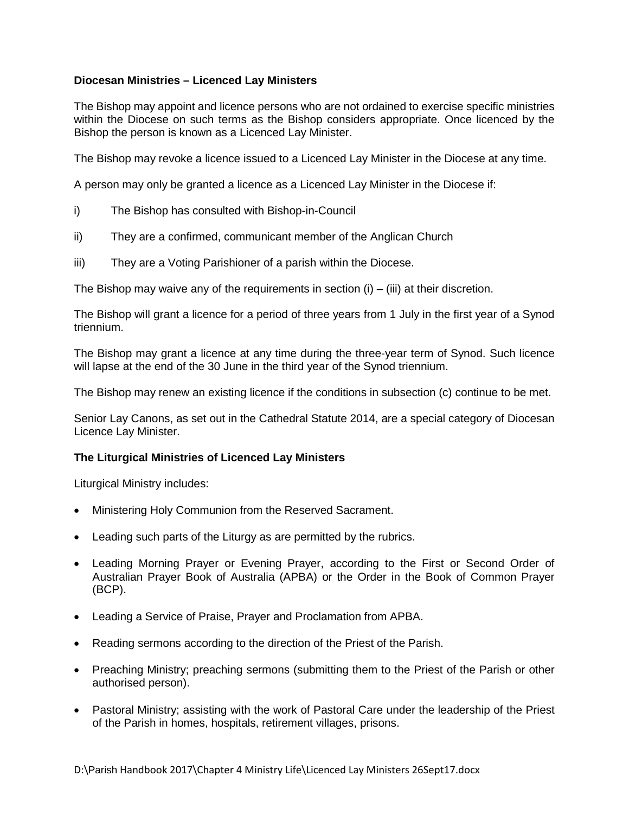# **Diocesan Ministries – Licenced Lay Ministers**

The Bishop may appoint and licence persons who are not ordained to exercise specific ministries within the Diocese on such terms as the Bishop considers appropriate. Once licenced by the Bishop the person is known as a Licenced Lay Minister.

The Bishop may revoke a licence issued to a Licenced Lay Minister in the Diocese at any time.

A person may only be granted a licence as a Licenced Lay Minister in the Diocese if:

- i) The Bishop has consulted with Bishop-in-Council
- ii) They are a confirmed, communicant member of the Anglican Church
- iii) They are a Voting Parishioner of a parish within the Diocese.

The Bishop may waive any of the requirements in section  $(i) - (iii)$  at their discretion.

The Bishop will grant a licence for a period of three years from 1 July in the first year of a Synod triennium.

The Bishop may grant a licence at any time during the three-year term of Synod. Such licence will lapse at the end of the 30 June in the third year of the Synod triennium.

The Bishop may renew an existing licence if the conditions in subsection (c) continue to be met.

Senior Lay Canons, as set out in the Cathedral Statute 2014, are a special category of Diocesan Licence Lay Minister.

### **The Liturgical Ministries of Licenced Lay Ministers**

Liturgical Ministry includes:

- Ministering Holy Communion from the Reserved Sacrament.
- Leading such parts of the Liturgy as are permitted by the rubrics.
- Leading Morning Prayer or Evening Prayer, according to the First or Second Order of Australian Prayer Book of Australia (APBA) or the Order in the Book of Common Prayer (BCP).
- Leading a Service of Praise, Prayer and Proclamation from APBA.
- Reading sermons according to the direction of the Priest of the Parish.
- Preaching Ministry; preaching sermons (submitting them to the Priest of the Parish or other authorised person).
- Pastoral Ministry; assisting with the work of Pastoral Care under the leadership of the Priest of the Parish in homes, hospitals, retirement villages, prisons.